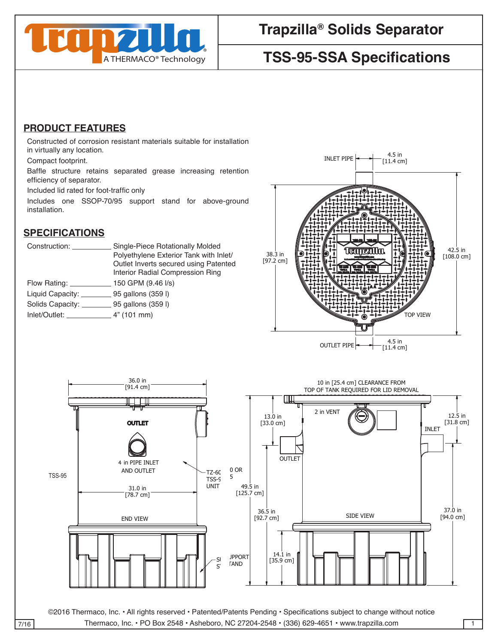

# **Trapzilla® Solids Separator**

# **TSS-95-SSA Specifications**

### **PRODUCT FEATURES**

Constructed of corrosion resistant materials suitable for installation in virtually any location.

Compact footprint.

Baffle structure retains separated grease increasing retention efficiency of separator.

Included lid rated for foot-traffic only

Includes one SSOP-70/95 support stand for above-ground installation.

### **SPECIFICATIONS**

| Construction:                                    | Single-Piece Rotationally Molded       |
|--------------------------------------------------|----------------------------------------|
|                                                  | Polyethylene Exterior Tank with Inlet/ |
|                                                  | Outlet Inverts secured using Patented  |
|                                                  | Interior Radial Compression Ring       |
| Flow Rating: 150 GPM (9.46 l/s)                  |                                        |
| Liquid Capacity: ____________ 95 gallons (359 l) |                                        |
| Solids Capacity:                                 | 95 gallons (359 l)                     |
| Inlet/Outlet: 4" (101 mm)                        |                                        |
|                                                  |                                        |





 $\overline{7/16}$  Thermaco, Inc. • PO Box 2548 • Asheboro, NC 27204-2548 • (336) 629-4651 • www.trapzilla.com 1

36.5 in

 $\mathbb{R}$